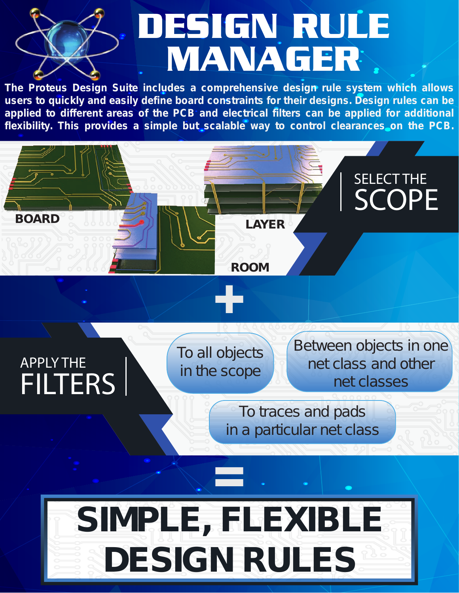## DESIGN RULE MANAGER

*The Proteus Design Suite includes a comprehensive design rule system which allows users to quickly and easily define board constraints for their designs. Design rules can be applied to different areas of the PCB and electrical filters can be applied for additional flexibility. This provides a simple but scalable way to control clearances on the PCB.*